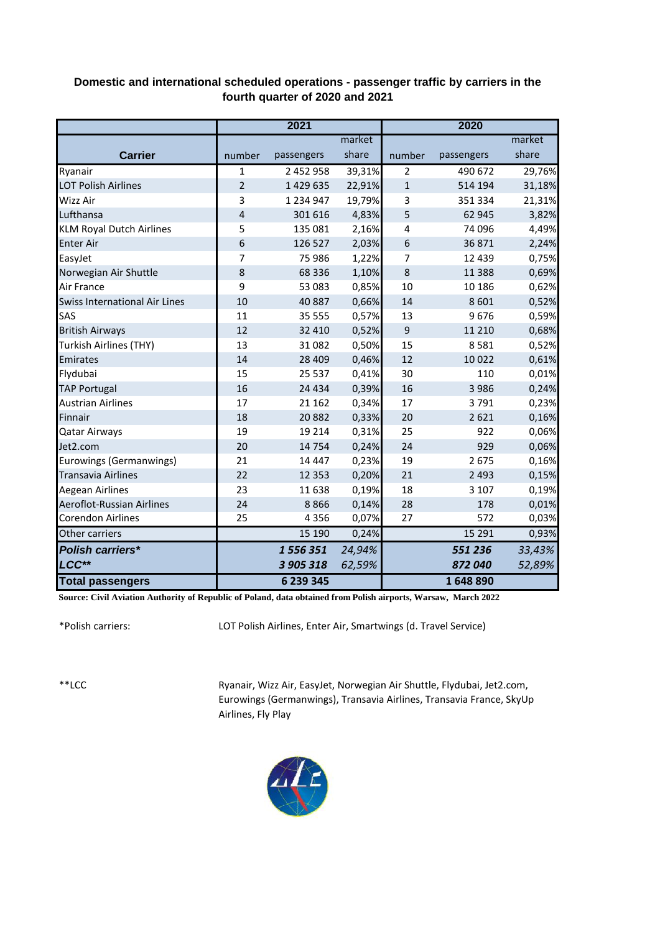## **Domestic and international scheduled operations - passenger traffic by carriers in the fourth quarter of 2020 and 2021**

|                                 | 2021           |               |        | 2020             |            |        |
|---------------------------------|----------------|---------------|--------|------------------|------------|--------|
|                                 |                |               | market |                  |            | market |
| <b>Carrier</b>                  | number         | passengers    | share  | number           | passengers | share  |
| Ryanair                         | $\mathbf{1}$   | 2 452 958     | 39,31% | $\overline{2}$   | 490 672    | 29,76% |
| <b>LOT Polish Airlines</b>      | $\overline{2}$ | 1429635       | 22,91% | $\mathbf{1}$     | 514 194    | 31,18% |
| Wizz Air                        | 3              | 1 2 3 4 9 4 7 | 19,79% | 3                | 351 334    | 21,31% |
| Lufthansa                       | 4              | 301 616       | 4,83%  | 5                | 62 945     | 3,82%  |
| <b>KLM Royal Dutch Airlines</b> | 5              | 135 081       | 2,16%  | 4                | 74 096     | 4,49%  |
| <b>Enter Air</b>                | 6              | 126 527       | 2,03%  | $\boldsymbol{6}$ | 36 871     | 2,24%  |
| EasyJet                         | 7              | 75 986        | 1,22%  | 7                | 12 4 39    | 0,75%  |
| Norwegian Air Shuttle           | 8              | 68 3 3 6      | 1,10%  | $\bf 8$          | 11 388     | 0,69%  |
| Air France                      | 9              | 53 083        | 0,85%  | 10               | 10 186     | 0,62%  |
| Swiss International Air Lines   | 10             | 40 887        | 0,66%  | 14               | 8 6 0 1    | 0,52%  |
| SAS                             | 11             | 35 555        | 0,57%  | 13               | 9676       | 0,59%  |
| <b>British Airways</b>          | 12             | 32 4 10       | 0,52%  | $\mathsf g$      | 11 210     | 0,68%  |
| <b>Turkish Airlines (THY)</b>   | 13             | 31 082        | 0,50%  | 15               | 8581       | 0,52%  |
| Emirates                        | 14             | 28 4 09       | 0,46%  | 12               | 10 0 22    | 0,61%  |
| Flydubai                        | 15             | 25 5 37       | 0,41%  | 30               | 110        | 0,01%  |
| <b>TAP Portugal</b>             | 16             | 24 4 34       | 0,39%  | 16               | 3 9 8 6    | 0,24%  |
| <b>Austrian Airlines</b>        | 17             | 21 162        | 0,34%  | 17               | 3791       | 0,23%  |
| Finnair                         | 18             | 20882         | 0,33%  | 20               | 2 6 2 1    | 0,16%  |
| <b>Qatar Airways</b>            | 19             | 19 2 14       | 0,31%  | 25               | 922        | 0,06%  |
| Jet2.com                        | 20             | 14 7 54       | 0,24%  | 24               | 929        | 0,06%  |
| Eurowings (Germanwings)         | 21             | 14 4 47       | 0,23%  | 19               | 2 6 7 5    | 0,16%  |
| <b>Transavia Airlines</b>       | 22             | 12 3 5 3      | 0,20%  | 21               | 2 4 9 3    | 0,15%  |
| Aegean Airlines                 | 23             | 11 638        | 0,19%  | 18               | 3 1 0 7    | 0,19%  |
| Aeroflot-Russian Airlines       | 24             | 8866          | 0,14%  | 28               | 178        | 0,01%  |
| <b>Corendon Airlines</b>        | 25             | 4 3 5 6       | 0,07%  | 27               | 572        | 0,03%  |
| Other carriers                  |                | 15 190        | 0,24%  |                  | 15 29 1    | 0,93%  |
| <b>Polish carriers*</b>         |                | 1556351       | 24,94% |                  | 551 236    | 33,43% |
| LCC**                           |                | 3 905 318     | 62,59% |                  | 872 040    | 52,89% |
| <b>Total passengers</b>         |                | 6 239 345     |        |                  | 1648890    |        |

**Source: Civil Aviation Authority of Republic of Poland, data obtained from Polish airports, Warsaw, March 2022**

\*Polish carriers:

LOT Polish Airlines, Enter Air, Smartwings (d. Travel Service)

\*\*LCC

Ryanair, Wizz Air, EasyJet, Norwegian Air Shuttle, Flydubai, Jet2.com, Eurowings (Germanwings), Transavia Airlines, Transavia France, SkyUp Airlines, Fly Play